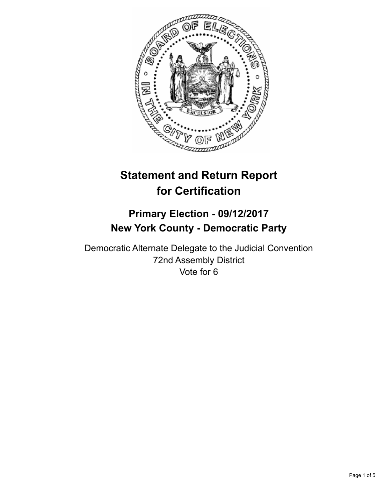

# **Statement and Return Report for Certification**

## **Primary Election - 09/12/2017 New York County - Democratic Party**

Democratic Alternate Delegate to the Judicial Convention 72nd Assembly District Vote for 6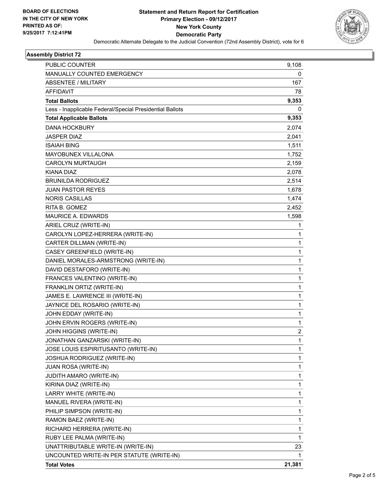

#### **Assembly District 72**

| PUBLIC COUNTER                                           | 9,108  |
|----------------------------------------------------------|--------|
| MANUALLY COUNTED EMERGENCY                               | 0      |
| <b>ABSENTEE / MILITARY</b>                               | 167    |
| <b>AFFIDAVIT</b>                                         | 78     |
| <b>Total Ballots</b>                                     | 9,353  |
| Less - Inapplicable Federal/Special Presidential Ballots | 0      |
| <b>Total Applicable Ballots</b>                          | 9,353  |
| <b>DANA HOCKBURY</b>                                     | 2,074  |
| <b>JASPER DIAZ</b>                                       | 2,041  |
| <b>ISAIAH BING</b>                                       | 1,511  |
| <b>MAYOBUNEX VILLALONA</b>                               | 1,752  |
| <b>CAROLYN MURTAUGH</b>                                  | 2,159  |
| <b>KIANA DIAZ</b>                                        | 2,078  |
| <b>BRUNILDA RODRIGUEZ</b>                                | 2,514  |
| <b>JUAN PASTOR REYES</b>                                 | 1,678  |
| <b>NORIS CASILLAS</b>                                    | 1,474  |
| RITA B. GOMEZ                                            | 2,452  |
| <b>MAURICE A. EDWARDS</b>                                | 1,598  |
| ARIEL CRUZ (WRITE-IN)                                    | 1      |
| CAROLYN LOPEZ-HERRERA (WRITE-IN)                         | 1      |
| CARTER DILLMAN (WRITE-IN)                                | 1      |
| CASEY GREENFIELD (WRITE-IN)                              | 1      |
| DANIEL MORALES-ARMSTRONG (WRITE-IN)                      | 1      |
| DAVID DESTAFORO (WRITE-IN)                               | 1      |
| FRANCES VALENTINO (WRITE-IN)                             | 1      |
| FRANKLIN ORTIZ (WRITE-IN)                                | 1      |
| JAMES E. LAWRENCE III (WRITE-IN)                         | 1      |
| JAYNICE DEL ROSARIO (WRITE-IN)                           | 1      |
| JOHN EDDAY (WRITE-IN)                                    | 1      |
| JOHN ERVIN ROGERS (WRITE-IN)                             | 1      |
| JOHN HIGGINS (WRITE-IN)                                  | 2      |
| JONATHAN GANZARSKI (WRITE-IN)                            | 1      |
| JOSE LOUIS ESPIRITUSANTO (WRITE-IN)                      | 1      |
| JOSHUA RODRIGUEZ (WRITE-IN)                              | 1      |
| JUAN ROSA (WRITE-IN)                                     | 1      |
| JUDITH AMARO (WRITE-IN)                                  | 1      |
| KIRINA DIAZ (WRITE-IN)                                   | 1      |
| LARRY WHITE (WRITE-IN)                                   | 1      |
| MANUEL RIVERA (WRITE-IN)                                 | 1      |
| PHILIP SIMPSON (WRITE-IN)                                | 1      |
| RAMON BAEZ (WRITE-IN)                                    | 1      |
| RICHARD HERRERA (WRITE-IN)                               | 1      |
| RUBY LEE PALMA (WRITE-IN)                                | 1      |
| UNATTRIBUTABLE WRITE-IN (WRITE-IN)                       | 23     |
| UNCOUNTED WRITE-IN PER STATUTE (WRITE-IN)                | 1      |
| <b>Total Votes</b>                                       | 21,381 |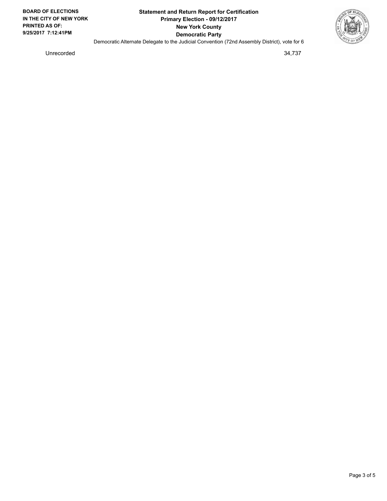

Unrecorded 34,737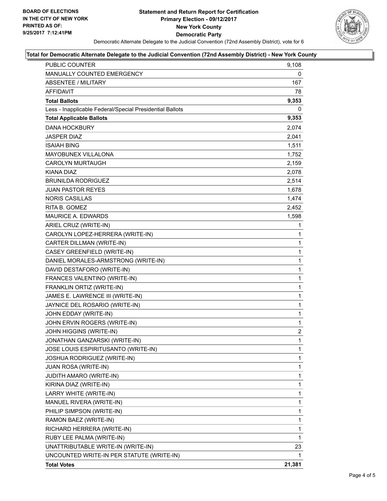

#### **Total for Democratic Alternate Delegate to the Judicial Convention (72nd Assembly District) - New York County**

| PUBLIC COUNTER                                           | 9,108        |
|----------------------------------------------------------|--------------|
| MANUALLY COUNTED EMERGENCY                               | 0            |
| ABSENTEE / MILITARY                                      | 167          |
| AFFIDAVIT                                                | 78           |
| <b>Total Ballots</b>                                     | 9,353        |
| Less - Inapplicable Federal/Special Presidential Ballots | 0            |
| <b>Total Applicable Ballots</b>                          | 9,353        |
| <b>DANA HOCKBURY</b>                                     | 2,074        |
| JASPER DIAZ                                              | 2,041        |
| <b>ISAIAH BING</b>                                       | 1,511        |
| <b>MAYOBUNEX VILLALONA</b>                               | 1,752        |
| <b>CAROLYN MURTAUGH</b>                                  | 2,159        |
| KIANA DIAZ                                               | 2,078        |
| <b>BRUNILDA RODRIGUEZ</b>                                | 2,514        |
| JUAN PASTOR REYES                                        | 1,678        |
| <b>NORIS CASILLAS</b>                                    | 1,474        |
| RITA B. GOMEZ                                            | 2,452        |
| <b>MAURICE A. EDWARDS</b>                                | 1,598        |
| ARIEL CRUZ (WRITE-IN)                                    | 1            |
| CAROLYN LOPEZ-HERRERA (WRITE-IN)                         | $\mathbf{1}$ |
| CARTER DILLMAN (WRITE-IN)                                | 1            |
| CASEY GREENFIELD (WRITE-IN)                              | 1            |
| DANIEL MORALES-ARMSTRONG (WRITE-IN)                      | $\mathbf{1}$ |
| DAVID DESTAFORO (WRITE-IN)                               | 1            |
| FRANCES VALENTINO (WRITE-IN)                             | 1            |
| FRANKLIN ORTIZ (WRITE-IN)                                | $\mathbf{1}$ |
| JAMES E. LAWRENCE III (WRITE-IN)                         | 1            |
| JAYNICE DEL ROSARIO (WRITE-IN)                           | 1            |
| JOHN EDDAY (WRITE-IN)                                    | $\mathbf{1}$ |
| JOHN ERVIN ROGERS (WRITE-IN)                             | 1            |
| JOHN HIGGINS (WRITE-IN)                                  | 2            |
| JONATHAN GANZARSKI (WRITE-IN)                            | $\mathbf{1}$ |
| JOSE LOUIS ESPIRITUSANTO (WRITE-IN)                      | 1            |
| JOSHUA RODRIGUEZ (WRITE-IN)                              | 1            |
| JUAN ROSA (WRITE-IN)                                     | 1            |
| <b>JUDITH AMARO (WRITE-IN)</b>                           | 1            |
| KIRINA DIAZ (WRITE-IN)                                   | 1            |
| LARRY WHITE (WRITE-IN)                                   | 1            |
| MANUEL RIVERA (WRITE-IN)                                 | 1            |
| PHILIP SIMPSON (WRITE-IN)                                | 1            |
| RAMON BAEZ (WRITE-IN)                                    | 1            |
| RICHARD HERRERA (WRITE-IN)                               | 1            |
| RUBY LEE PALMA (WRITE-IN)                                | 1            |
| UNATTRIBUTABLE WRITE-IN (WRITE-IN)                       | 23           |
| UNCOUNTED WRITE-IN PER STATUTE (WRITE-IN)                | 1            |
| <b>Total Votes</b>                                       | 21,381       |
|                                                          |              |